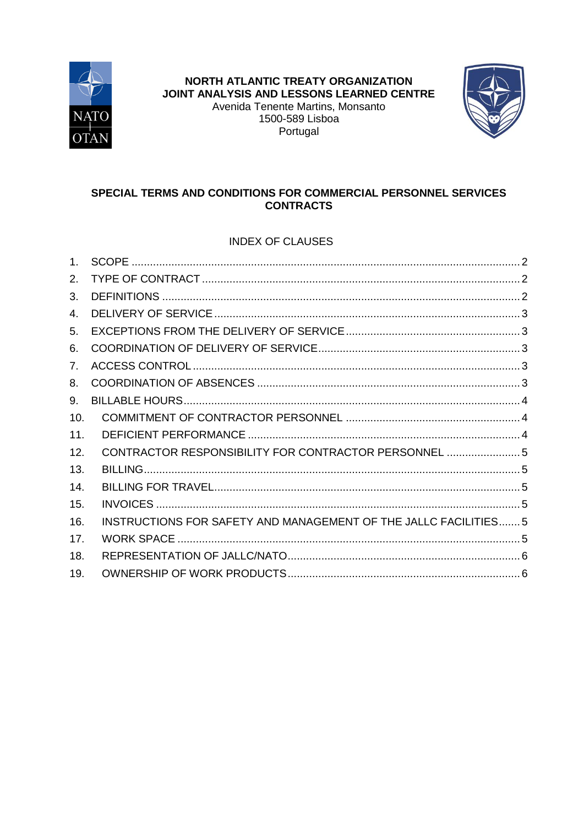



# SPECIAL TERMS AND CONDITIONS FOR COMMERCIAL PERSONNEL SERVICES **CONTRACTS**

# **INDEX OF CLAUSES**

| 1 <sub>1</sub>       |                                                                  |  |
|----------------------|------------------------------------------------------------------|--|
| 2 <sub>1</sub>       |                                                                  |  |
| 3.                   |                                                                  |  |
| $\mathbf{4}_{\cdot}$ |                                                                  |  |
| 5.                   |                                                                  |  |
| 6.                   |                                                                  |  |
| 7.                   |                                                                  |  |
| 8.                   |                                                                  |  |
| 9.                   |                                                                  |  |
| 10.                  |                                                                  |  |
| 11.                  |                                                                  |  |
| 12.                  | CONTRACTOR RESPONSIBILITY FOR CONTRACTOR PERSONNEL  5            |  |
| 13.                  |                                                                  |  |
| 14.                  |                                                                  |  |
| 15.                  |                                                                  |  |
| 16.                  | INSTRUCTIONS FOR SAFETY AND MANAGEMENT OF THE JALLC FACILITIES 5 |  |
| 17.                  |                                                                  |  |
| 18.                  |                                                                  |  |
| 19.                  |                                                                  |  |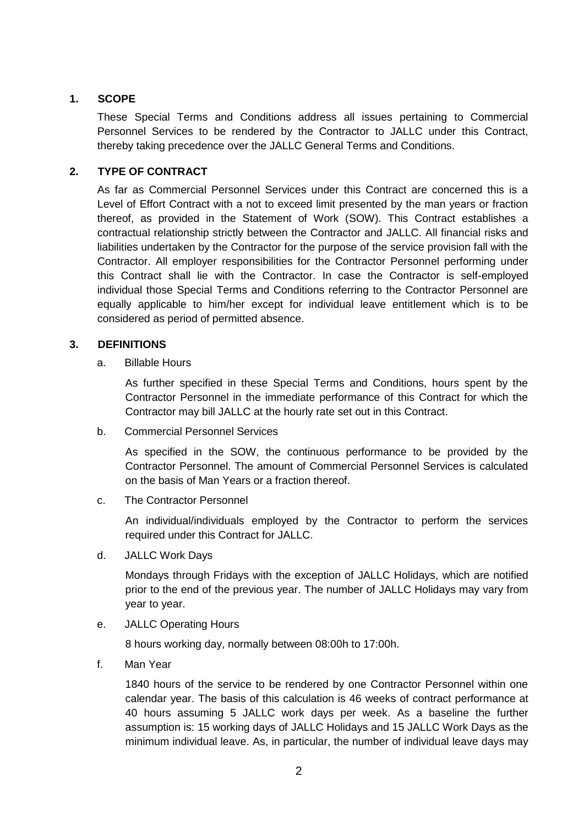# <span id="page-1-0"></span>**1. SCOPE**

These Special Terms and Conditions address all issues pertaining to Commercial Personnel Services to be rendered by the Contractor to JALLC under this Contract, thereby taking precedence over the JALLC General Terms and Conditions.

## <span id="page-1-1"></span>**2. TYPE OF CONTRACT**

As far as Commercial Personnel Services under this Contract are concerned this is a Level of Effort Contract with a not to exceed limit presented by the man years or fraction thereof, as provided in the Statement of Work (SOW). This Contract establishes a contractual relationship strictly between the Contractor and JALLC. All financial risks and liabilities undertaken by the Contractor for the purpose of the service provision fall with the Contractor. All employer responsibilities for the Contractor Personnel performing under this Contract shall lie with the Contractor. In case the Contractor is self-employed individual those Special Terms and Conditions referring to the Contractor Personnel are equally applicable to him/her except for individual leave entitlement which is to be considered as period of permitted absence.

## <span id="page-1-2"></span>**3. DEFINITIONS**

a. Billable Hours

As further specified in these Special Terms and Conditions, hours spent by the Contractor Personnel in the immediate performance of this Contract for which the Contractor may bill JALLC at the hourly rate set out in this Contract.

b. Commercial Personnel Services

As specified in the SOW, the continuous performance to be provided by the Contractor Personnel. The amount of Commercial Personnel Services is calculated on the basis of Man Years or a fraction thereof.

c. The Contractor Personnel

An individual/individuals employed by the Contractor to perform the services required under this Contract for JALLC.

d. JALLC Work Days

Mondays through Fridays with the exception of JALLC Holidays, which are notified prior to the end of the previous year. The number of JALLC Holidays may vary from year to year.

e. JALLC Operating Hours

8 hours working day, normally between 08:00h to 17:00h.

f. Man Year

1840 hours of the service to be rendered by one Contractor Personnel within one calendar year. The basis of this calculation is 46 weeks of contract performance at 40 hours assuming 5 JALLC work days per week. As a baseline the further assumption is: 15 working days of JALLC Holidays and 15 JALLC Work Days as the minimum individual leave. As, in particular, the number of individual leave days may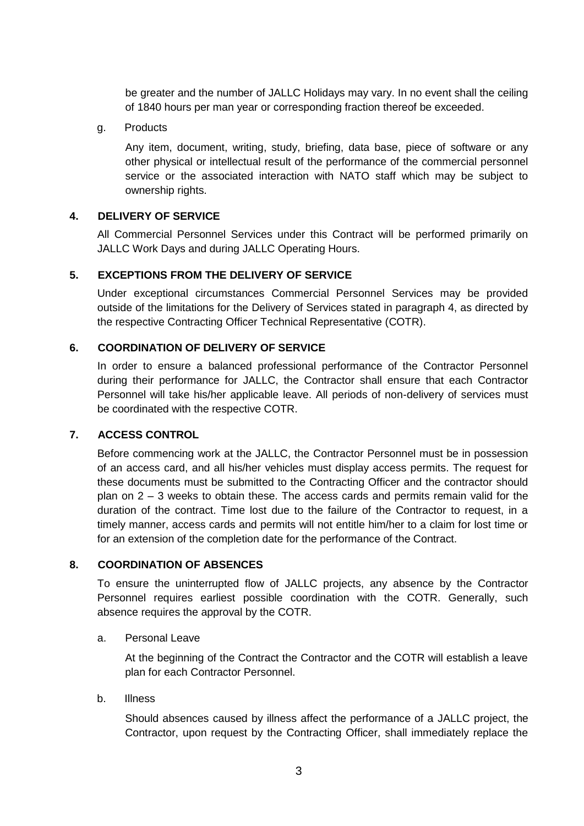be greater and the number of JALLC Holidays may vary. In no event shall the ceiling of 1840 hours per man year or corresponding fraction thereof be exceeded.

g. Products

Any item, document, writing, study, briefing, data base, piece of software or any other physical or intellectual result of the performance of the commercial personnel service or the associated interaction with NATO staff which may be subject to ownership rights.

# <span id="page-2-0"></span>**4. DELIVERY OF SERVICE**

All Commercial Personnel Services under this Contract will be performed primarily on JALLC Work Days and during JALLC Operating Hours.

## <span id="page-2-1"></span>**5. EXCEPTIONS FROM THE DELIVERY OF SERVICE**

Under exceptional circumstances Commercial Personnel Services may be provided outside of the limitations for the Delivery of Services stated in paragraph 4, as directed by the respective Contracting Officer Technical Representative (COTR).

## <span id="page-2-2"></span>**6. COORDINATION OF DELIVERY OF SERVICE**

In order to ensure a balanced professional performance of the Contractor Personnel during their performance for JALLC, the Contractor shall ensure that each Contractor Personnel will take his/her applicable leave. All periods of non-delivery of services must be coordinated with the respective COTR.

## <span id="page-2-3"></span>**7. ACCESS CONTROL**

Before commencing work at the JALLC, the Contractor Personnel must be in possession of an access card, and all his/her vehicles must display access permits. The request for these documents must be submitted to the Contracting Officer and the contractor should plan on  $2 - 3$  weeks to obtain these. The access cards and permits remain valid for the duration of the contract. Time lost due to the failure of the Contractor to request, in a timely manner, access cards and permits will not entitle him/her to a claim for lost time or for an extension of the completion date for the performance of the Contract.

## <span id="page-2-4"></span>**8. COORDINATION OF ABSENCES**

To ensure the uninterrupted flow of JALLC projects, any absence by the Contractor Personnel requires earliest possible coordination with the COTR. Generally, such absence requires the approval by the COTR.

## a. Personal Leave

At the beginning of the Contract the Contractor and the COTR will establish a leave plan for each Contractor Personnel.

b. Illness

Should absences caused by illness affect the performance of a JALLC project, the Contractor, upon request by the Contracting Officer, shall immediately replace the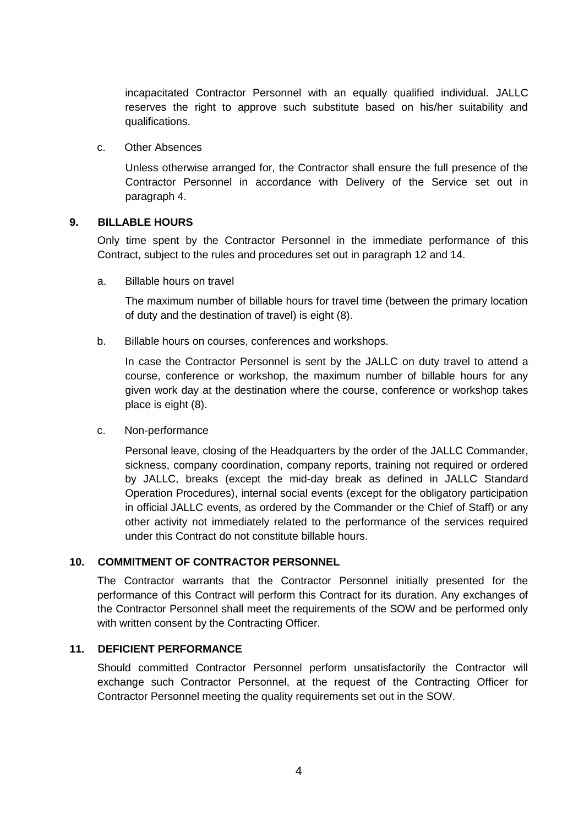incapacitated Contractor Personnel with an equally qualified individual. JALLC reserves the right to approve such substitute based on his/her suitability and qualifications.

#### c. Other Absences

Unless otherwise arranged for, the Contractor shall ensure the full presence of the Contractor Personnel in accordance with Delivery of the Service set out in paragraph 4.

## <span id="page-3-0"></span>**9. BILLABLE HOURS**

Only time spent by the Contractor Personnel in the immediate performance of this Contract, subject to the rules and procedures set out in paragraph 12 and 14.

a. Billable hours on travel

The maximum number of billable hours for travel time (between the primary location of duty and the destination of travel) is eight (8).

b. Billable hours on courses, conferences and workshops.

In case the Contractor Personnel is sent by the JALLC on duty travel to attend a course, conference or workshop, the maximum number of billable hours for any given work day at the destination where the course, conference or workshop takes place is eight (8).

#### c. Non-performance

Personal leave, closing of the Headquarters by the order of the JALLC Commander, sickness, company coordination, company reports, training not required or ordered by JALLC, breaks (except the mid-day break as defined in JALLC Standard Operation Procedures), internal social events (except for the obligatory participation in official JALLC events, as ordered by the Commander or the Chief of Staff) or any other activity not immediately related to the performance of the services required under this Contract do not constitute billable hours.

## <span id="page-3-1"></span>**10. COMMITMENT OF CONTRACTOR PERSONNEL**

The Contractor warrants that the Contractor Personnel initially presented for the performance of this Contract will perform this Contract for its duration. Any exchanges of the Contractor Personnel shall meet the requirements of the SOW and be performed only with written consent by the Contracting Officer.

## <span id="page-3-2"></span>**11. DEFICIENT PERFORMANCE**

Should committed Contractor Personnel perform unsatisfactorily the Contractor will exchange such Contractor Personnel, at the request of the Contracting Officer for Contractor Personnel meeting the quality requirements set out in the SOW.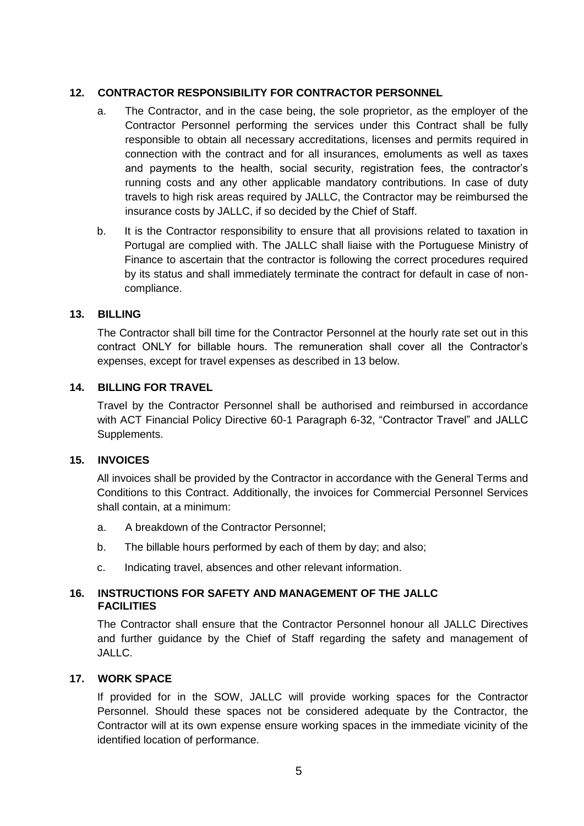## <span id="page-4-0"></span>**12. CONTRACTOR RESPONSIBILITY FOR CONTRACTOR PERSONNEL**

- a. The Contractor, and in the case being, the sole proprietor, as the employer of the Contractor Personnel performing the services under this Contract shall be fully responsible to obtain all necessary accreditations, licenses and permits required in connection with the contract and for all insurances, emoluments as well as taxes and payments to the health, social security, registration fees, the contractor's running costs and any other applicable mandatory contributions. In case of duty travels to high risk areas required by JALLC, the Contractor may be reimbursed the insurance costs by JALLC, if so decided by the Chief of Staff.
- b. It is the Contractor responsibility to ensure that all provisions related to taxation in Portugal are complied with. The JALLC shall liaise with the Portuguese Ministry of Finance to ascertain that the contractor is following the correct procedures required by its status and shall immediately terminate the contract for default in case of noncompliance.

## <span id="page-4-1"></span>**13. BILLING**

The Contractor shall bill time for the Contractor Personnel at the hourly rate set out in this contract ONLY for billable hours. The remuneration shall cover all the Contractor's expenses, except for travel expenses as described in 13 below.

# <span id="page-4-2"></span>**14. BILLING FOR TRAVEL**

Travel by the Contractor Personnel shall be authorised and reimbursed in accordance with ACT Financial Policy Directive 60-1 Paragraph 6-32, "Contractor Travel" and JALLC Supplements.

## <span id="page-4-3"></span>**15. INVOICES**

All invoices shall be provided by the Contractor in accordance with the General Terms and Conditions to this Contract. Additionally, the invoices for Commercial Personnel Services shall contain, at a minimum:

- a. A breakdown of the Contractor Personnel;
- b. The billable hours performed by each of them by day; and also;
- c. Indicating travel, absences and other relevant information.

## <span id="page-4-4"></span>**16. INSTRUCTIONS FOR SAFETY AND MANAGEMENT OF THE JALLC FACILITIES**

The Contractor shall ensure that the Contractor Personnel honour all JALLC Directives and further guidance by the Chief of Staff regarding the safety and management of JALLC.

## <span id="page-4-5"></span>**17. WORK SPACE**

If provided for in the SOW, JALLC will provide working spaces for the Contractor Personnel. Should these spaces not be considered adequate by the Contractor, the Contractor will at its own expense ensure working spaces in the immediate vicinity of the identified location of performance.